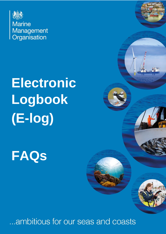

**Marine** Management<br>Organisation

# **Electronic Logbook (E-log)**

**FAQs**

ambitious for our seas and coasts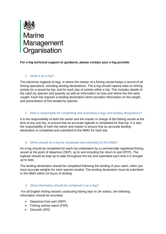

# **For e-log technical support or guidance, please contact your e-log provider**

# 1. What is an e-log?

The electronic logbook (e-log), is where the master of a fishing vessel keeps a record of all fishing operations, including landing declarations. The e-log should capture data on fishing activity for a vessel by trip, and for each day of activity within a trip. This includes details of the catch by species and quantity as well as information on how and where the fish were caught. Each trip requires a landing declaration which provides information on the weight and presentation of fish landed by species.

# 2. Who is responsible for completing and submitting e-logs and landing declarations?

It is the responsibility of both the owner and the master in charge of the fishing vessel at the time of any one trip, to ensure that an accurate logbook is completed for that trip. It is also the responsibility of both the owner and master to ensure that an accurate landing declaration is completed and submitted to the MMO for each trip.

#### 3. When should an e-log be completed and submitted to the MMO?

An e-log should be completed for each trip undertaken by a commercially registered fishing vessel at the point of departure (DEP), up to and including the return to port (RTP). The logbook should be kept up to date throughout the trip and submitted each time it is brought up to date.

The landing declaration should be completed following the landing of your catch, when you have accurate weights for each species landed. The landing declaration must be submitted to the MMO within 24 hours of landing.

#### 4. What information should be contained in an e-log?

For all English fishing vessels conducting fishing trips in UK waters, the following information should be recorded:

- Departure from port (DEP)
- Fishing activity report (FAR)
- Discards (DIS)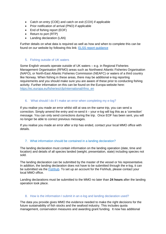- Catch on entry (COE) and catch on exit (COX) if applicable
- Prior notification of arrival (PNO) if applicable
- End of fishing report (EOF)
- Return to port (RTP)
- Landing declaration (LAN)

Further details on what data is required as well as how and when to complete this can be found on our website by following this link: [ELSS report guidance](https://www.gov.uk/government/publications/how-to-report-fishing-activities-using-an-electronic-logbook-software-system/elss-reports)

#### 5. Fishing outside of UK waters

Some English vessels operate outside of UK waters – e.g. in Regional Fisheries Management Organisation (RFMO) areas such as Northwest Atlantic Fisheries Organisation (NAFO), or North-East Atlantic Fisheries Commission (NEAFC) or waters of a third country like Norway. When fishing in these areas, there may be additional e-log reporting requirements and you should make sure you are aware of these prior to conducting fishing activity. Further information on this can be found on the Europa website here: [https://ec.europa.eu/fisheries/cfp/international/rfmo\\_en](https://ec.europa.eu/fisheries/cfp/international/rfmo_en)

# 6. What should I do if I make an error when completing my e-log?

If you realise you made an error whilst still at sea on the same trip, you can send a correction. Simply amend the entry and re-send it – your e-log will log this as a 'correction' message. You can only send corrections during the trip. Once EOF has been sent, you will no longer be able to correct previous messages.

If you realise you made an error after a trip has ended, contact your local MMO office with details.

# 7. What information should be contained in a landing declaration?

The landing declaration must contain information on the landing operation (date, time and location) and details of all species landed (weight, presentation, state) including species not sold.

The landing declaration can be submitted by the master of the vessel or his representative. In addition, the landing declaration does not have to be submitted through the e-log, it can be submitted via the [Fishhub.](https://fishhub.cefas.co.uk/) To set up an account for the Fishhub, please contact your local MMO office.

Landing declarations must be submitted to the MMO no later than **24 hours** after the landing operation took place.

# 8. How is the information I submit in an e-log and landing declaration used?

The data you provide gives MMO the evidence needed to make the right decisions for the future sustainability of fish stocks and the seafood industry. This includes quota management, conservation measures and awarding grant funding. It now has additional